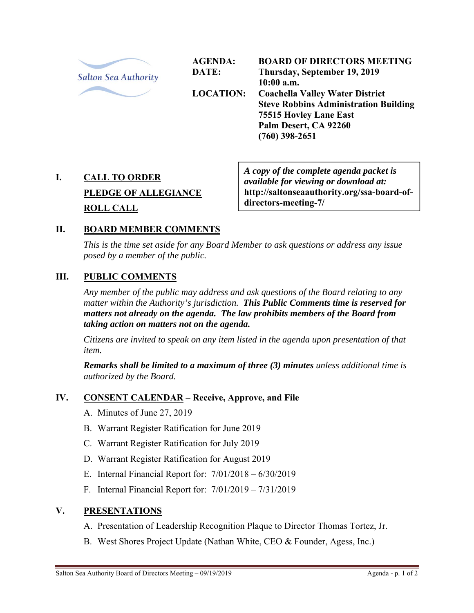

**AGENDA: DATE: LOCATION: BOARD OF DIRECTORS MEETING Thursday, September 19, 2019 10:00 a.m. Coachella Valley Water District Steve Robbins Administration Building 75515 Hovley Lane East Palm Desert, CA 92260 (760) 398-2651** 

# **I. CALL TO ORDER PLEDGE OF ALLEGIANCE ROLL CALL**

*A copy of the complete agenda packet is available for viewing or download at:*  **http://saltonseaauthority.org/ssa-board-ofdirectors-meeting-7/** 

# **II. BOARD MEMBER COMMENTS**

*This is the time set aside for any Board Member to ask questions or address any issue posed by a member of the public.* 

# **III. PUBLIC COMMENTS**

*Any member of the public may address and ask questions of the Board relating to any matter within the Authority's jurisdiction. This Public Comments time is reserved for matters not already on the agenda. The law prohibits members of the Board from taking action on matters not on the agenda.* 

*Citizens are invited to speak on any item listed in the agenda upon presentation of that item.* 

*Remarks shall be limited to a maximum of three (3) minutes unless additional time is authorized by the Board.*

# **IV. CONSENT CALENDAR – Receive, Approve, and File**

- A. Minutes of June 27, 2019
- B. Warrant Register Ratification for June 2019
- C. Warrant Register Ratification for July 2019
- D. Warrant Register Ratification for August 2019
- E. Internal Financial Report for: 7/01/2018 6/30/2019
- F. Internal Financial Report for: 7/01/2019 7/31/2019

#### **V. PRESENTATIONS**

- A. Presentation of Leadership Recognition Plaque to Director Thomas Tortez, Jr.
- B. West Shores Project Update (Nathan White, CEO & Founder, Agess, Inc.)